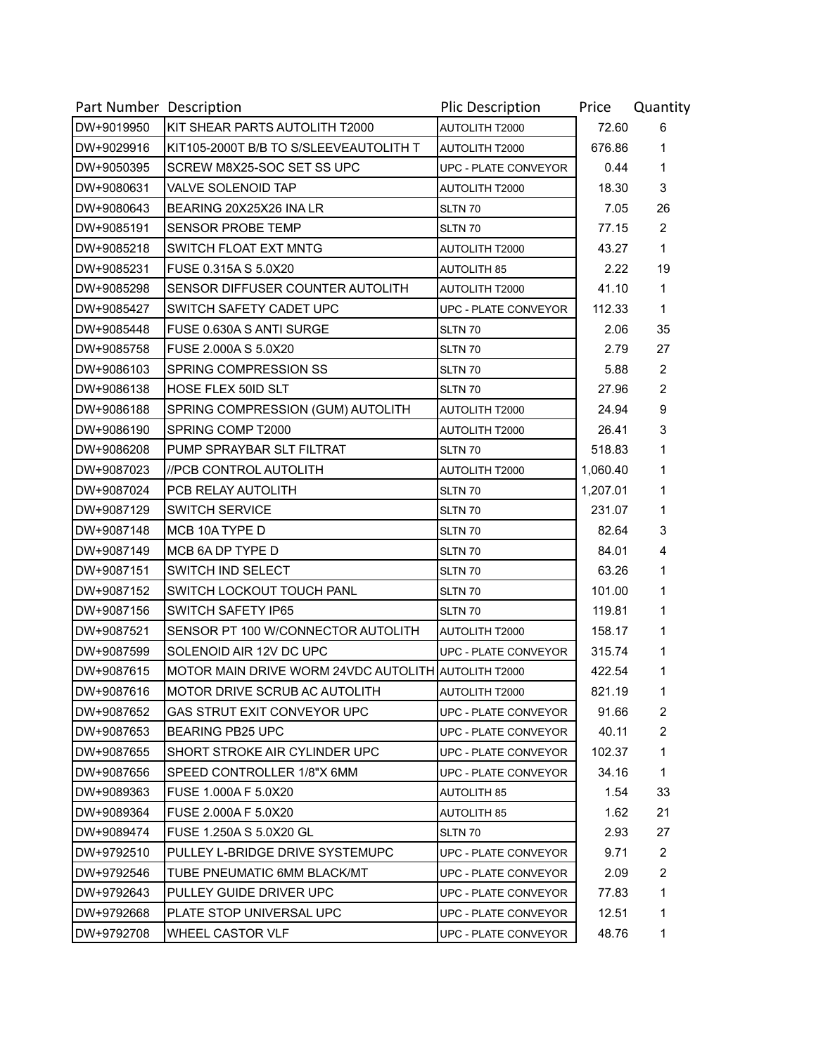| Part Number Description |                                                     | <b>Plic Description</b>     | Price    | Quantity       |
|-------------------------|-----------------------------------------------------|-----------------------------|----------|----------------|
| DW+9019950              | KIT SHEAR PARTS AUTOLITH T2000                      | AUTOLITH T2000              | 72.60    | 6              |
| DW+9029916              | KIT105-2000T B/B TO S/SLEEVEAUTOLITH T              | <b>AUTOLITH T2000</b>       | 676.86   | 1              |
| DW+9050395              | SCREW M8X25-SOC SET SS UPC                          | UPC - PLATE CONVEYOR        | 0.44     | 1              |
| DW+9080631              | <b>VALVE SOLENOID TAP</b>                           | AUTOLITH T2000              | 18.30    | 3              |
| DW+9080643              | BEARING 20X25X26 INA LR                             | <b>SLTN 70</b>              | 7.05     | 26             |
| DW+9085191              | <b>SENSOR PROBE TEMP</b>                            | SLTN 70                     | 77.15    | $\overline{2}$ |
| DW+9085218              | SWITCH FLOAT EXT MNTG                               | <b>AUTOLITH T2000</b>       | 43.27    | 1              |
| DW+9085231              | FUSE 0.315A S 5.0X20                                | <b>AUTOLITH 85</b>          | 2.22     | 19             |
| DW+9085298              | SENSOR DIFFUSER COUNTER AUTOLITH                    | AUTOLITH T2000              | 41.10    | 1              |
| DW+9085427              | SWITCH SAFETY CADET UPC                             | UPC - PLATE CONVEYOR        | 112.33   | 1              |
| DW+9085448              | FUSE 0.630A S ANTI SURGE                            | SLTN 70                     | 2.06     | 35             |
| DW+9085758              | FUSE 2.000A S 5.0X20                                | SLTN 70                     | 2.79     | 27             |
| DW+9086103              | SPRING COMPRESSION SS                               | SLTN 70                     | 5.88     | $\overline{2}$ |
| DW+9086138              | HOSE FLEX 50ID SLT                                  | SLTN 70                     | 27.96    | $\overline{2}$ |
| DW+9086188              | SPRING COMPRESSION (GUM) AUTOLITH                   | <b>AUTOLITH T2000</b>       | 24.94    | 9              |
| DW+9086190              | SPRING COMP T2000                                   | <b>AUTOLITH T2000</b>       | 26.41    | 3              |
| DW+9086208              | PUMP SPRAYBAR SLT FILTRAT                           | SLTN 70                     | 518.83   | 1              |
| DW+9087023              | //PCB CONTROL AUTOLITH                              | <b>AUTOLITH T2000</b>       | 1,060.40 | 1              |
| DW+9087024              | PCB RELAY AUTOLITH                                  | SLTN 70                     | 1,207.01 | 1              |
| DW+9087129              | <b>SWITCH SERVICE</b>                               | SLTN 70                     | 231.07   | 1              |
| DW+9087148              | MCB 10A TYPE D                                      | SLTN 70                     | 82.64    | 3              |
| DW+9087149              | MCB 6A DP TYPE D                                    | SLTN 70                     | 84.01    | 4              |
| DW+9087151              | <b>SWITCH IND SELECT</b>                            | SLTN 70                     | 63.26    | 1              |
| DW+9087152              | SWITCH LOCKOUT TOUCH PANL                           | SLTN 70                     | 101.00   | 1              |
| DW+9087156              | <b>SWITCH SAFETY IP65</b>                           | SLTN 70                     | 119.81   | 1              |
| DW+9087521              | SENSOR PT 100 W/CONNECTOR AUTOLITH                  | <b>AUTOLITH T2000</b>       | 158.17   | 1              |
| DW+9087599              | SOLENOID AIR 12V DC UPC                             | <b>UPC - PLATE CONVEYOR</b> | 315.74   | 1              |
| DW+9087615              | MOTOR MAIN DRIVE WORM 24VDC AUTOLITH AUTOLITH T2000 |                             | 422.54   | 1              |
| DW+9087616              | MOTOR DRIVE SCRUB AC AUTOLITH                       | <b>AUTOLITH T2000</b>       | 821.19   | 1              |
| DW+9087652              | GAS STRUT EXIT CONVEYOR UPC                         | UPC - PLATE CONVEYOR        | 91.66    | $\overline{2}$ |
| DW+9087653              | <b>BEARING PB25 UPC</b>                             | UPC - PLATE CONVEYOR        | 40.11    | $\overline{2}$ |
| DW+9087655              | SHORT STROKE AIR CYLINDER UPC                       | UPC - PLATE CONVEYOR        | 102.37   | 1              |
| DW+9087656              | SPEED CONTROLLER 1/8"X 6MM                          | UPC - PLATE CONVEYOR        | 34.16    | 1              |
| DW+9089363              | FUSE 1.000A F 5.0X20                                | <b>AUTOLITH 85</b>          | 1.54     | 33             |
| DW+9089364              | FUSE 2.000A F 5.0X20                                | <b>AUTOLITH 85</b>          | 1.62     | 21             |
| DW+9089474              | FUSE 1.250A S 5.0X20 GL                             | SLTN 70                     | 2.93     | 27             |
| DW+9792510              | PULLEY L-BRIDGE DRIVE SYSTEMUPC                     | UPC - PLATE CONVEYOR        | 9.71     | $\overline{2}$ |
| DW+9792546              | TUBE PNEUMATIC 6MM BLACK/MT                         | UPC - PLATE CONVEYOR        | 2.09     | $\overline{2}$ |
| DW+9792643              | PULLEY GUIDE DRIVER UPC                             | UPC - PLATE CONVEYOR        | 77.83    | 1              |
| DW+9792668              | PLATE STOP UNIVERSAL UPC                            | UPC - PLATE CONVEYOR        | 12.51    | 1              |
| DW+9792708              | WHEEL CASTOR VLF                                    | UPC - PLATE CONVEYOR        | 48.76    | 1              |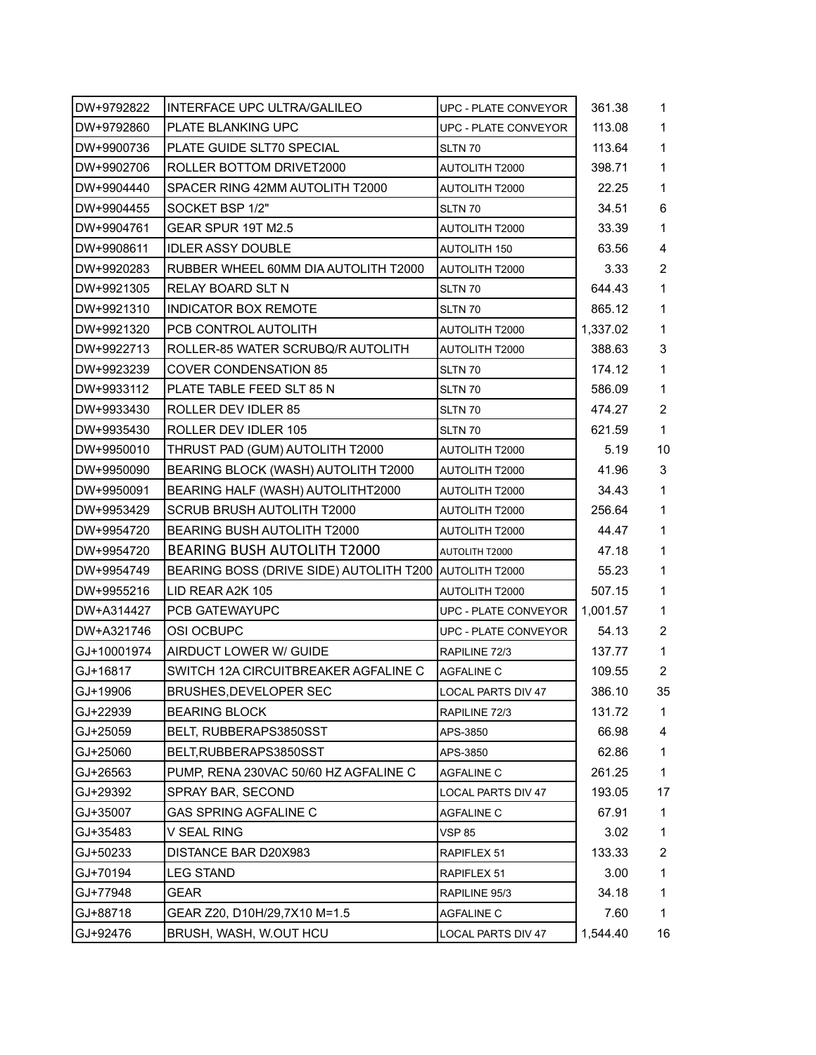| DW+9792822  | INTERFACE UPC ULTRA/GALILEO                            | UPC - PLATE CONVEYOR        | 361.38   | 1              |
|-------------|--------------------------------------------------------|-----------------------------|----------|----------------|
| DW+9792860  | <b>PLATE BLANKING UPC</b>                              | <b>UPC - PLATE CONVEYOR</b> | 113.08   | 1              |
| DW+9900736  | PLATE GUIDE SLT70 SPECIAL                              | SLTN 70                     | 113.64   | 1              |
| DW+9902706  | ROLLER BOTTOM DRIVET2000                               | <b>AUTOLITH T2000</b>       | 398.71   | 1              |
| DW+9904440  | SPACER RING 42MM AUTOLITH T2000                        | <b>AUTOLITH T2000</b>       | 22.25    | 1              |
| DW+9904455  | SOCKET BSP 1/2"                                        | SLTN 70                     | 34.51    | 6              |
| DW+9904761  | GEAR SPUR 19T M2.5                                     | <b>AUTOLITH T2000</b>       | 33.39    | 1              |
| DW+9908611  | <b>IDLER ASSY DOUBLE</b>                               | <b>AUTOLITH 150</b>         | 63.56    | $\overline{4}$ |
| DW+9920283  | RUBBER WHEEL 60MM DIA AUTOLITH T2000                   | <b>AUTOLITH T2000</b>       | 3.33     | 2              |
| DW+9921305  | <b>RELAY BOARD SLT N</b>                               | SLTN 70                     | 644.43   | 1              |
| DW+9921310  | INDICATOR BOX REMOTE                                   | SLTN 70                     | 865.12   | 1              |
| DW+9921320  | PCB CONTROL AUTOLITH                                   | AUTOLITH T2000              | 1,337.02 | 1              |
| DW+9922713  | ROLLER-85 WATER SCRUBQ/R AUTOLITH                      | <b>AUTOLITH T2000</b>       | 388.63   | 3              |
| DW+9923239  | <b>COVER CONDENSATION 85</b>                           | SLTN 70                     | 174.12   | 1              |
| DW+9933112  | PLATE TABLE FEED SLT 85 N                              | SLTN 70                     | 586.09   | 1              |
| DW+9933430  | ROLLER DEV IDLER 85                                    | SLTN 70                     | 474.27   | $\overline{2}$ |
| DW+9935430  | ROLLER DEV IDLER 105                                   | SLTN 70                     | 621.59   | 1              |
| DW+9950010  | THRUST PAD (GUM) AUTOLITH T2000                        | AUTOLITH T2000              | 5.19     | 10             |
| DW+9950090  | BEARING BLOCK (WASH) AUTOLITH T2000                    | AUTOLITH T2000              | 41.96    | 3              |
| DW+9950091  | BEARING HALF (WASH) AUTOLITHT2000                      | AUTOLITH T2000              | 34.43    | 1              |
| DW+9953429  | <b>SCRUB BRUSH AUTOLITH T2000</b>                      | <b>AUTOLITH T2000</b>       | 256.64   | 1              |
| DW+9954720  | <b>BEARING BUSH AUTOLITH T2000</b>                     | <b>AUTOLITH T2000</b>       | 44.47    | 1              |
| DW+9954720  | BEARING BUSH AUTOLITH T2000                            | AUTOLITH T2000              | 47.18    | 1              |
| DW+9954749  | BEARING BOSS (DRIVE SIDE) AUTOLITH T200 AUTOLITH T2000 |                             | 55.23    | 1              |
| DW+9955216  | LID REAR A2K 105                                       | AUTOLITH T2000              | 507.15   | 1              |
| DW+A314427  | PCB GATEWAYUPC                                         | <b>UPC - PLATE CONVEYOR</b> | 1,001.57 | 1              |
| DW+A321746  | <b>OSI OCBUPC</b>                                      | <b>UPC - PLATE CONVEYOR</b> | 54.13    | $\overline{2}$ |
| GJ+10001974 | AIRDUCT LOWER W/ GUIDE                                 | RAPILINE 72/3               | 137.77   | 1              |
| GJ+16817    | SWITCH 12A CIRCUITBREAKER AGFALINE C                   | AGFALINE C                  | 109.55   | $\overline{2}$ |
| GJ+19906    | <b>BRUSHES, DEVELOPER SEC</b>                          | <b>LOCAL PARTS DIV 47</b>   | 386.10   | 35             |
| GJ+22939    | <b>BEARING BLOCK</b>                                   | RAPILINE 72/3               | 131.72   | 1              |
| GJ+25059    | BELT, RUBBERAPS3850SST                                 | APS-3850                    | 66.98    | 4              |
| GJ+25060    | BELT, RUBBERAPS3850SST                                 | APS-3850                    | 62.86    | $\mathbf 1$    |
| GJ+26563    | PUMP, RENA 230VAC 50/60 HZ AGFALINE C                  | <b>AGFALINE C</b>           | 261.25   | $\mathbf 1$    |
| GJ+29392    | SPRAY BAR, SECOND                                      | <b>LOCAL PARTS DIV 47</b>   | 193.05   | 17             |
| GJ+35007    | GAS SPRING AGFALINE C                                  | <b>AGFALINE C</b>           | 67.91    | 1              |
| GJ+35483    | V SEAL RING                                            | <b>VSP 85</b>               | 3.02     | 1              |
| GJ+50233    | DISTANCE BAR D20X983                                   | RAPIFLEX 51                 | 133.33   | $\overline{2}$ |
| GJ+70194    | LEG STAND                                              | RAPIFLEX 51                 | 3.00     | $\mathbf 1$    |
| GJ+77948    | GEAR                                                   | RAPILINE 95/3               | 34.18    | 1              |
| GJ+88718    | GEAR Z20, D10H/29,7X10 M=1.5                           | <b>AGFALINE C</b>           | 7.60     | $\mathbf 1$    |
| GJ+92476    | BRUSH, WASH, W.OUT HCU                                 | LOCAL PARTS DIV 47          | 1,544.40 | 16             |